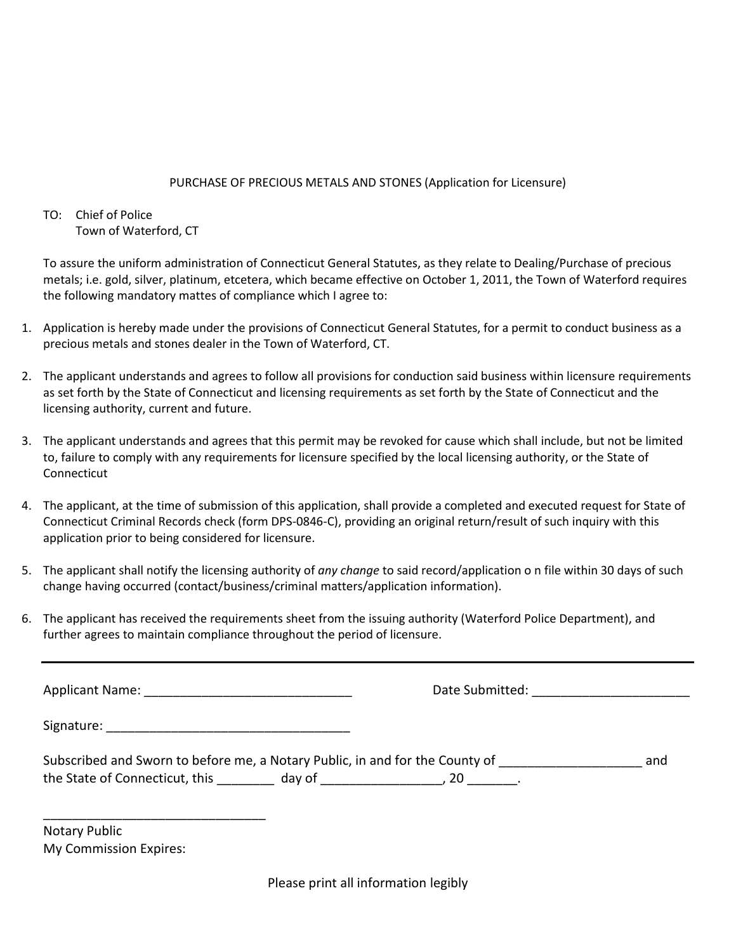## PURCHASE OF PRECIOUS METALS AND STONES (Application for Licensure)

## TO: Chief of Police Town of Waterford, CT

To assure the uniform administration of Connecticut General Statutes, as they relate to Dealing/Purchase of precious metals; i.e. gold, silver, platinum, etcetera, which became effective on October 1, 2011, the Town of Waterford requires the following mandatory mattes of compliance which I agree to:

- 1. Application is hereby made under the provisions of Connecticut General Statutes, for a permit to conduct business as a precious metals and stones dealer in the Town of Waterford, CT.
- 2. The applicant understands and agrees to follow all provisions for conduction said business within licensure requirements as set forth by the State of Connecticut and licensing requirements as set forth by the State of Connecticut and the licensing authority, current and future.
- 3. The applicant understands and agrees that this permit may be revoked for cause which shall include, but not be limited to, failure to comply with any requirements for licensure specified by the local licensing authority, or the State of **Connecticut**
- 4. The applicant, at the time of submission of this application, shall provide a completed and executed request for State of Connecticut Criminal Records check (form DPS-0846-C), providing an original return/result of such inquiry with this application prior to being considered for licensure.
- 5. The applicant shall notify the licensing authority of *any change* to said record/application o n file within 30 days of such change having occurred (contact/business/criminal matters/application information).
- 6. The applicant has received the requirements sheet from the issuing authority (Waterford Police Department), and further agrees to maintain compliance throughout the period of licensure.

Applicant Name:  $\Box$  and  $\Box$   $\Box$  Date Submitted:  $\Box$  Date Submitted:  $\Box$ 

Signature: \_\_\_\_\_\_\_\_\_\_\_\_\_\_\_\_\_\_\_\_\_\_\_\_\_\_\_\_\_\_\_\_\_\_

| Subscribed and Sworn to before me, a Notary Public, in and for the County of |        | and |
|------------------------------------------------------------------------------|--------|-----|
| the State of Connecticut, this                                               | day of |     |

Notary Public My Commission Expires:

\_\_\_\_\_\_\_\_\_\_\_\_\_\_\_\_\_\_\_\_\_\_\_\_\_\_\_\_\_\_\_

Please print all information legibly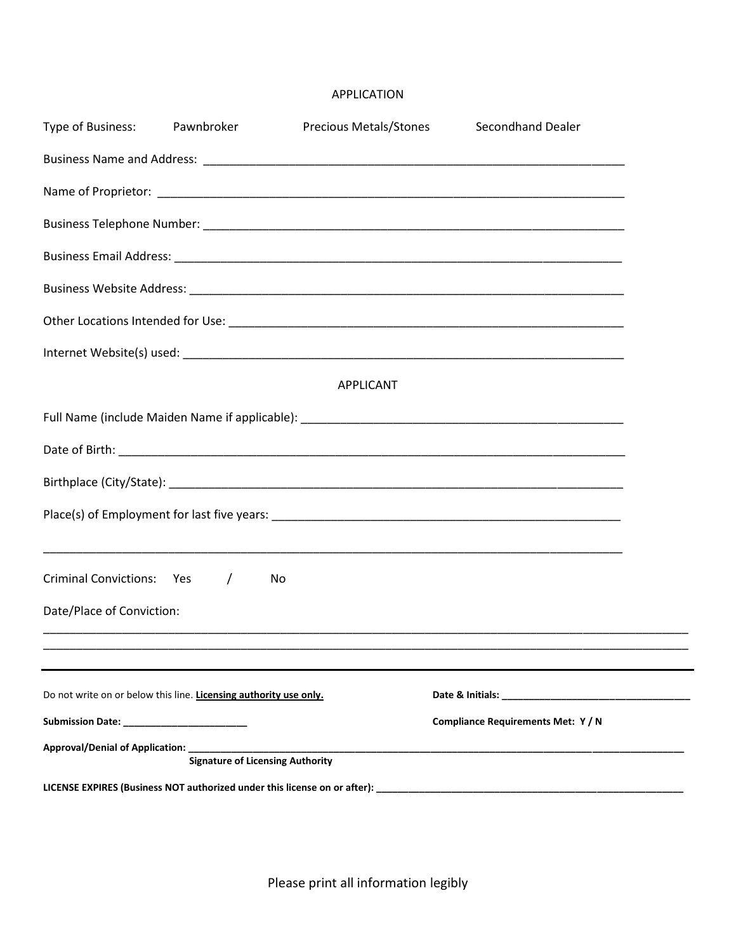## APPLICATION

| Type of Business:                            | Pawnbroker                                                                                           | Precious Metals/Stones | <b>Secondhand Dealer</b>                                                         |  |
|----------------------------------------------|------------------------------------------------------------------------------------------------------|------------------------|----------------------------------------------------------------------------------|--|
|                                              |                                                                                                      |                        |                                                                                  |  |
|                                              |                                                                                                      |                        |                                                                                  |  |
|                                              |                                                                                                      |                        |                                                                                  |  |
|                                              |                                                                                                      |                        |                                                                                  |  |
|                                              |                                                                                                      |                        |                                                                                  |  |
|                                              |                                                                                                      |                        |                                                                                  |  |
|                                              |                                                                                                      |                        |                                                                                  |  |
|                                              |                                                                                                      | <b>APPLICANT</b>       |                                                                                  |  |
|                                              |                                                                                                      |                        |                                                                                  |  |
|                                              |                                                                                                      |                        |                                                                                  |  |
|                                              |                                                                                                      |                        |                                                                                  |  |
|                                              |                                                                                                      |                        |                                                                                  |  |
| <b>Criminal Convictions: Yes</b>             | $\sqrt{2}$<br>No                                                                                     |                        | ,我们也不能在这里的时候,我们也不能在这里的时候,我们也不能会在这里,我们也不能会不能会不能会不能会不能会不能会。""我们,我们也不能会不能会不能会不能会不能会 |  |
| Date/Place of Conviction:                    |                                                                                                      |                        |                                                                                  |  |
|                                              |                                                                                                      |                        |                                                                                  |  |
|                                              | Do not write on or below this line. Licensing authority use only.                                    |                        |                                                                                  |  |
|                                              |                                                                                                      |                        | Compliance Requirements Met: Y / N                                               |  |
| Approval/Denial of Application: ____________ | <b>Signature of Licensing Authority</b>                                                              |                        |                                                                                  |  |
|                                              | LICENSE EXPIRES (Business NOT authorized under this license on or after): __________________________ |                        |                                                                                  |  |

—